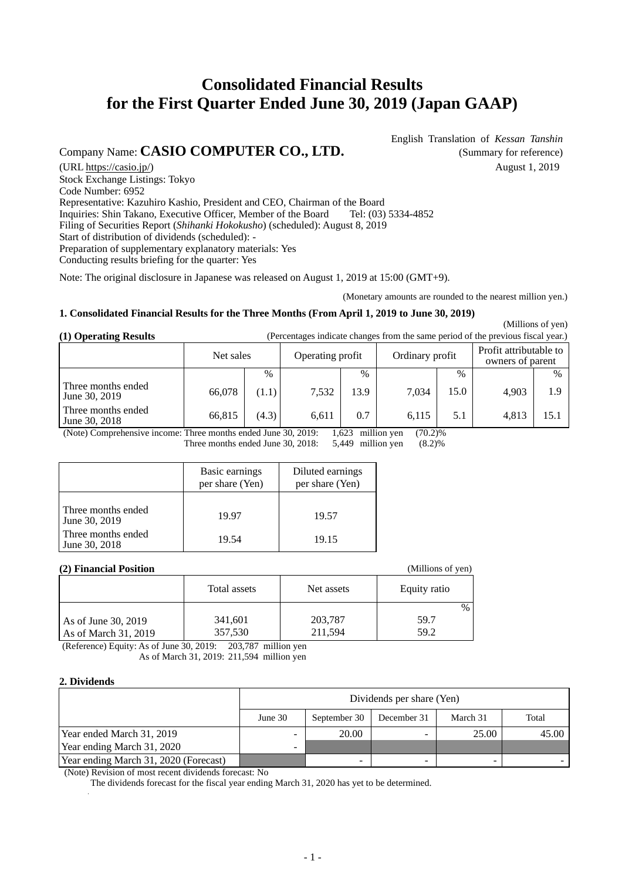# **Consolidated Financial Results for the First Quarter Ended June 30, 2019 (Japan GAAP)**

## Company Name: **CASIO COMPUTER CO., LTD.** (Summary for reference)

English Translation of *Kessan Tanshin*

(URL https://casio.jp/) August 1, 2019 Stock Exchange Listings: Tokyo Code Number: 6952 Representative: Kazuhiro Kashio, President and CEO, Chairman of the Board Inquiries: Shin Takano, Executive Officer, Member of the Board Tel: (03) 5334-4852 Filing of Securities Report (*Shihanki Hokokusho*) (scheduled): August 8, 2019 Start of distribution of dividends (scheduled): - Preparation of supplementary explanatory materials: Yes Conducting results briefing for the quarter: Yes

Note: The original disclosure in Japanese was released on August 1, 2019 at 15:00 (GMT+9).

(Monetary amounts are rounded to the nearest million yen.)

(Millions of yen)

#### **1. Consolidated Financial Results for the Three Months (From April 1, 2019 to June 30, 2019)**

**(1) Operating Results** (Percentages indicate changes from the same period of the previous fiscal year.)

|                                     | Net sales |       | Operating profit |      | Ordinary profit |      | Profit attributable to<br>owners of parent |      |
|-------------------------------------|-----------|-------|------------------|------|-----------------|------|--------------------------------------------|------|
|                                     |           | $\%$  |                  | $\%$ |                 | $\%$ |                                            | $\%$ |
| Three months ended<br>June 30, 2019 | 66,078    | (1.1) | 7,532            | 13.9 | 7.034           | 15.0 | 4.903                                      | 1.9  |
| Three months ended<br>June 30, 2018 | 66,815    | (4.3) | 6,611            | 0.7  | 6,115           | 5.1  | 4.813                                      | 15.1 |

(Note) Comprehensive income: Three months ended June  $30, 2019$ :  $1,623$  million yen  $(70.2)\%$ <br>Three months ended June  $30, 2018$ :  $5,449$  million yen  $(8.2)\%$ 

Three months ended June 30, 2018:

|                                     | Basic earnings<br>per share (Yen) | Diluted earnings<br>per share (Yen) |
|-------------------------------------|-----------------------------------|-------------------------------------|
| Three months ended<br>June 30, 2019 | 19.97                             | 19.57                               |
| Three months ended<br>June 30, 2018 | 19.54                             | 19.15                               |

#### **(2) Financial Position**

| (2) Financial Position                      |                    |                    | (Millions of yen) |
|---------------------------------------------|--------------------|--------------------|-------------------|
|                                             | Total assets       | Net assets         | Equity ratio      |
|                                             |                    |                    | $\frac{0}{0}$     |
| As of June 30, 2019<br>As of March 31, 2019 | 341,601<br>357,530 | 203,787<br>211,594 | 59.7<br>59.2      |

(Reference) Equity: As of June 30, 2019: 203,787 million yen As of March 31, 2019: 211,594 million yen

### **2. Dividends**

|                                       | Dividends per share (Yen) |              |             |          |       |  |
|---------------------------------------|---------------------------|--------------|-------------|----------|-------|--|
|                                       | June 30                   | September 30 | December 31 | March 31 | Total |  |
| Year ended March 31, 2019             | -                         | 20.00        |             | 25.00    | 45.00 |  |
| Year ending March 31, 2020            | -                         |              |             |          |       |  |
| Year ending March 31, 2020 (Forecast) |                           | -            |             |          |       |  |

(Note) Revision of most recent dividends forecast: No

The dividends forecast for the fiscal year ending March 31, 2020 has yet to be determined.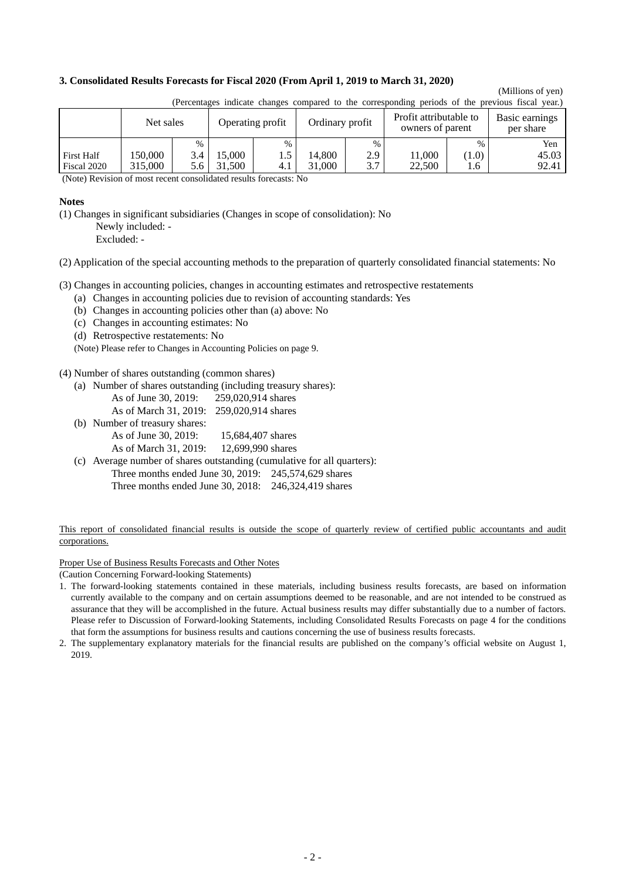#### **3. Consolidated Results Forecasts for Fiscal 2020 (From April 1, 2019 to March 31, 2020)**

## (Millions of yen)

|                                  | $\mu$ encomages marcule enanges compared to the corresponding periods of the previous model year. |            |                  |      |                                            |            |                             |              |                |
|----------------------------------|---------------------------------------------------------------------------------------------------|------------|------------------|------|--------------------------------------------|------------|-----------------------------|--------------|----------------|
|                                  | Net sales<br>Operating profit                                                                     |            | Ordinary profit  |      | Profit attributable to<br>owners of parent |            | Basic earnings<br>per share |              |                |
|                                  |                                                                                                   | $\%$       |                  | $\%$ |                                            | $\%$       |                             | $\%$         | Yen            |
| <b>First Half</b><br>Fiscal 2020 | 150.000<br>315.000                                                                                | 3.4<br>5.6 | 15.000<br>31.500 | 4.1  | 14.800<br>31.000                           | 2.9<br>3.7 | 11,000<br>22,500            | (1.0)<br>1.6 | 45.03<br>92.41 |

(Percentages indicate changes compared to the corresponding periods of the previous fiscal year.)

(Note) Revision of most recent consolidated results forecasts: No

#### **Notes**

(1) Changes in significant subsidiaries (Changes in scope of consolidation): No

Newly included: -

Excluded: -

(2) Application of the special accounting methods to the preparation of quarterly consolidated financial statements: No

(3) Changes in accounting policies, changes in accounting estimates and retrospective restatements

- (a) Changes in accounting policies due to revision of accounting standards: Yes
- (b) Changes in accounting policies other than (a) above: No
- (c) Changes in accounting estimates: No
- (d) Retrospective restatements: No

(Note) Please refer to Changes in Accounting Policies on page 9.

#### (4) Number of shares outstanding (common shares)

- (a) Number of shares outstanding (including treasury shares):
	- As of June 30, 2019: 259,020,914 shares
	- As of March 31, 2019: 259,020,914 shares
- (b) Number of treasury shares: As of June 30, 2019: 15,684,407 shares As of March 31, 2019: 12,699,990 shares
- (c) Average number of shares outstanding (cumulative for all quarters): Three months ended June 30, 2019: 245,574,629 shares Three months ended June 30, 2018: 246,324,419 shares

#### This report of consolidated financial results is outside the scope of quarterly review of certified public accountants and audit corporations.

Proper Use of Business Results Forecasts and Other Notes

(Caution Concerning Forward-looking Statements)

- 1. The forward-looking statements contained in these materials, including business results forecasts, are based on information currently available to the company and on certain assumptions deemed to be reasonable, and are not intended to be construed as assurance that they will be accomplished in the future. Actual business results may differ substantially due to a number of factors. Please refer to Discussion of Forward-looking Statements, including Consolidated Results Forecasts on page 4 for the conditions that form the assumptions for business results and cautions concerning the use of business results forecasts.
- 2. The supplementary explanatory materials for the financial results are published on the company's official website on August 1, 2019.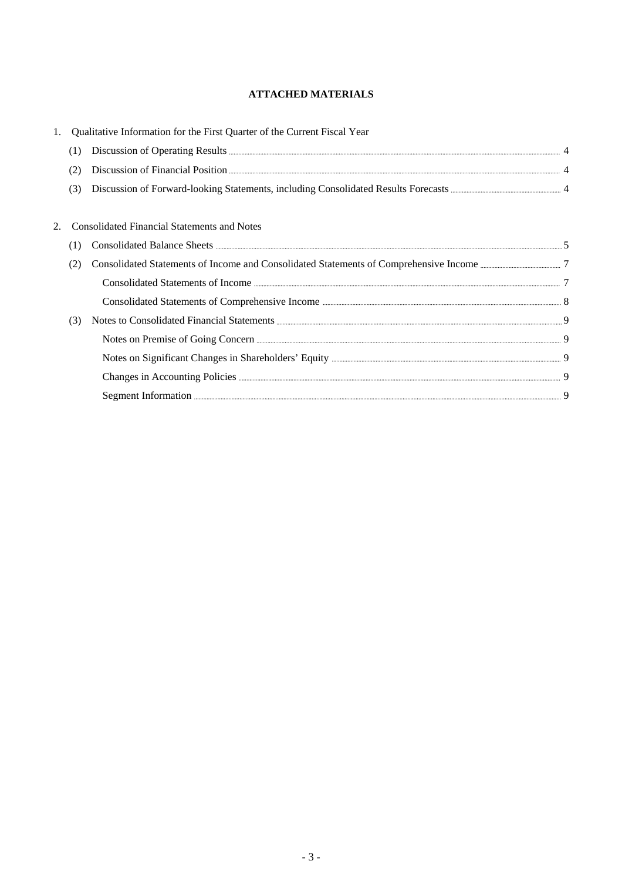## **ATTACHED MATERIALS**

|     | Qualitative Information for the First Quarter of the Current Fiscal Year |  |
|-----|--------------------------------------------------------------------------|--|
| (1) |                                                                          |  |
| (2) | Discussion of Financial Position <b>Election</b> 24 4                    |  |
| (3) |                                                                          |  |
|     |                                                                          |  |
|     | <b>Consolidated Financial Statements and Notes</b>                       |  |
| (1) |                                                                          |  |
| (2) |                                                                          |  |
|     |                                                                          |  |
|     |                                                                          |  |
| (3) |                                                                          |  |
|     | Notes on Premise of Going Concern <b>Exercise Contact Concernation</b> 9 |  |
|     |                                                                          |  |
|     |                                                                          |  |
|     | Segment Information <b>Executive Construction</b> 9                      |  |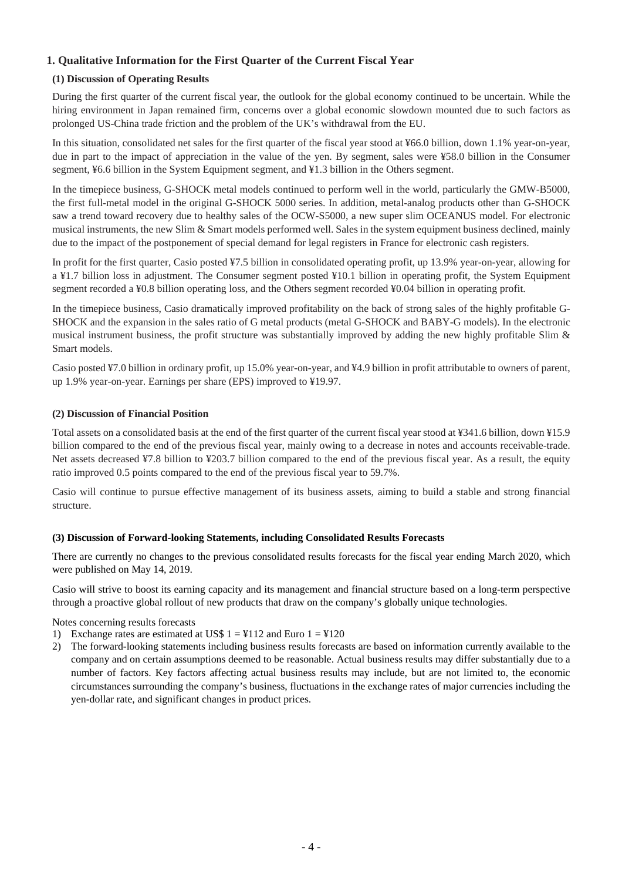## **1. Qualitative Information for the First Quarter of the Current Fiscal Year**

### **(1) Discussion of Operating Results**

During the first quarter of the current fiscal year, the outlook for the global economy continued to be uncertain. While the hiring environment in Japan remained firm, concerns over a global economic slowdown mounted due to such factors as prolonged US-China trade friction and the problem of the UK's withdrawal from the EU.

In this situation, consolidated net sales for the first quarter of the fiscal year stood at ¥66.0 billion, down 1.1% year-on-year, due in part to the impact of appreciation in the value of the yen. By segment, sales were ¥58.0 billion in the Consumer segment, ¥6.6 billion in the System Equipment segment, and ¥1.3 billion in the Others segment.

In the timepiece business, G-SHOCK metal models continued to perform well in the world, particularly the GMW-B5000, the first full-metal model in the original G-SHOCK 5000 series. In addition, metal-analog products other than G-SHOCK saw a trend toward recovery due to healthy sales of the OCW-S5000, a new super slim OCEANUS model. For electronic musical instruments, the new Slim & Smart models performed well. Sales in the system equipment business declined, mainly due to the impact of the postponement of special demand for legal registers in France for electronic cash registers.

In profit for the first quarter, Casio posted ¥7.5 billion in consolidated operating profit, up 13.9% year-on-year, allowing for a ¥1.7 billion loss in adjustment. The Consumer segment posted ¥10.1 billion in operating profit, the System Equipment segment recorded a ¥0.8 billion operating loss, and the Others segment recorded ¥0.04 billion in operating profit.

In the timepiece business, Casio dramatically improved profitability on the back of strong sales of the highly profitable G-SHOCK and the expansion in the sales ratio of G metal products (metal G-SHOCK and BABY-G models). In the electronic musical instrument business, the profit structure was substantially improved by adding the new highly profitable Slim & Smart models.

Casio posted ¥7.0 billion in ordinary profit, up 15.0% year-on-year, and ¥4.9 billion in profit attributable to owners of parent, up 1.9% year-on-year. Earnings per share (EPS) improved to ¥19.97.

#### **(2) Discussion of Financial Position**

Total assets on a consolidated basis at the end of the first quarter of the current fiscal year stood at ¥341.6 billion, down ¥15.9 billion compared to the end of the previous fiscal year, mainly owing to a decrease in notes and accounts receivable-trade. Net assets decreased ¥7.8 billion to ¥203.7 billion compared to the end of the previous fiscal year. As a result, the equity ratio improved 0.5 points compared to the end of the previous fiscal year to 59.7%.

Casio will continue to pursue effective management of its business assets, aiming to build a stable and strong financial structure.

#### **(3) Discussion of Forward-looking Statements, including Consolidated Results Forecasts**

There are currently no changes to the previous consolidated results forecasts for the fiscal year ending March 2020, which were published on May 14, 2019.

Casio will strive to boost its earning capacity and its management and financial structure based on a long-term perspective through a proactive global rollout of new products that draw on the company's globally unique technologies.

Notes concerning results forecasts

- 1) Exchange rates are estimated at US\$  $1 = 112$  and Euro  $1 = 120$
- 2) The forward-looking statements including business results forecasts are based on information currently available to the company and on certain assumptions deemed to be reasonable. Actual business results may differ substantially due to a number of factors. Key factors affecting actual business results may include, but are not limited to, the economic circumstances surrounding the company's business, fluctuations in the exchange rates of major currencies including the yen-dollar rate, and significant changes in product prices.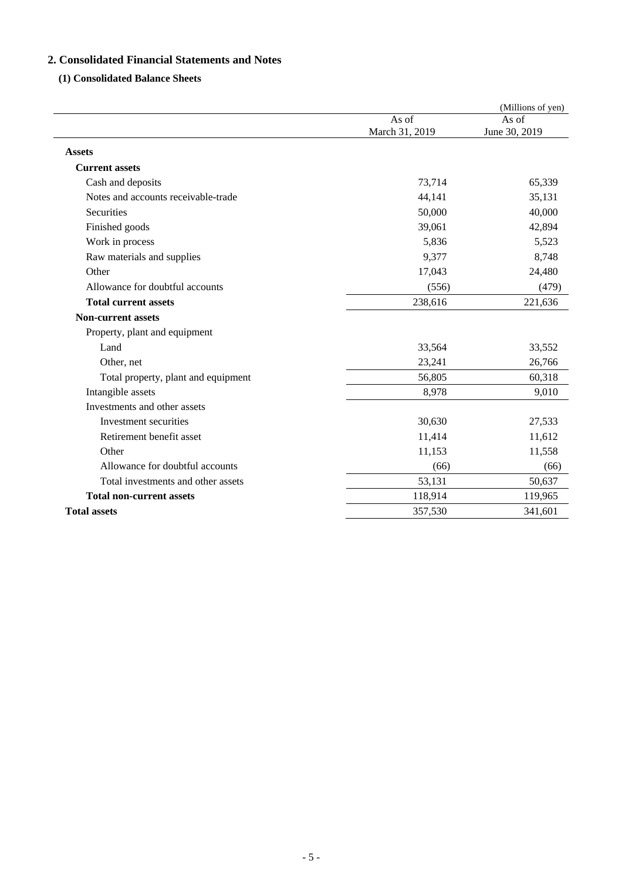## **2. Consolidated Financial Statements and Notes**

## **(1) Consolidated Balance Sheets**

|                                     |                         | (Millions of yen)      |
|-------------------------------------|-------------------------|------------------------|
|                                     | As of<br>March 31, 2019 | As of<br>June 30, 2019 |
| <b>Assets</b>                       |                         |                        |
| <b>Current assets</b>               |                         |                        |
| Cash and deposits                   | 73,714                  | 65,339                 |
| Notes and accounts receivable-trade | 44,141                  | 35,131                 |
| Securities                          | 50,000                  | 40,000                 |
| Finished goods                      | 39,061                  | 42,894                 |
| Work in process                     | 5,836                   | 5,523                  |
| Raw materials and supplies          | 9,377                   | 8,748                  |
| Other                               | 17,043                  | 24,480                 |
| Allowance for doubtful accounts     | (556)                   | (479)                  |
| <b>Total current assets</b>         | 238,616                 | 221,636                |
| <b>Non-current assets</b>           |                         |                        |
| Property, plant and equipment       |                         |                        |
| Land                                | 33,564                  | 33,552                 |
| Other, net                          | 23,241                  | 26,766                 |
| Total property, plant and equipment | 56,805                  | 60,318                 |
| Intangible assets                   | 8,978                   | 9,010                  |
| Investments and other assets        |                         |                        |
| Investment securities               | 30,630                  | 27,533                 |
| Retirement benefit asset            | 11,414                  | 11,612                 |
| Other                               | 11,153                  | 11,558                 |
| Allowance for doubtful accounts     | (66)                    | (66)                   |
| Total investments and other assets  | 53,131                  | 50,637                 |
| <b>Total non-current assets</b>     | 118,914                 | 119,965                |
| <b>Total assets</b>                 | 357,530                 | 341,601                |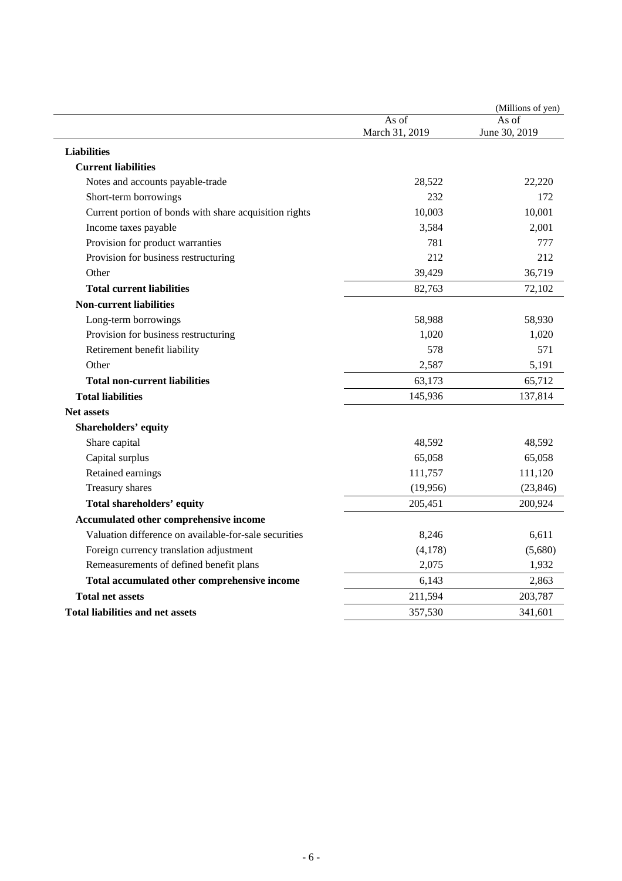|                                                        |                | (Millions of yen) |
|--------------------------------------------------------|----------------|-------------------|
|                                                        | As of          | As of             |
|                                                        | March 31, 2019 | June 30, 2019     |
| <b>Liabilities</b>                                     |                |                   |
| <b>Current liabilities</b>                             |                |                   |
| Notes and accounts payable-trade                       | 28,522         | 22,220            |
| Short-term borrowings                                  | 232            | 172               |
| Current portion of bonds with share acquisition rights | 10,003         | 10,001            |
| Income taxes payable                                   | 3,584          | 2,001             |
| Provision for product warranties                       | 781            | 777               |
| Provision for business restructuring                   | 212            | 212               |
| Other                                                  | 39,429         | 36,719            |
| <b>Total current liabilities</b>                       | 82,763         | 72,102            |
| <b>Non-current liabilities</b>                         |                |                   |
| Long-term borrowings                                   | 58,988         | 58,930            |
| Provision for business restructuring                   | 1,020          | 1,020             |
| Retirement benefit liability                           | 578            | 571               |
| Other                                                  | 2,587          | 5,191             |
| <b>Total non-current liabilities</b>                   | 63,173         | 65,712            |
| <b>Total liabilities</b>                               | 145,936        | 137,814           |
| <b>Net assets</b>                                      |                |                   |
| <b>Shareholders' equity</b>                            |                |                   |
| Share capital                                          | 48,592         | 48,592            |
| Capital surplus                                        | 65,058         | 65,058            |
| Retained earnings                                      | 111,757        | 111,120           |
| Treasury shares                                        | (19,956)       | (23, 846)         |
| Total shareholders' equity                             | 205,451        | 200,924           |
| Accumulated other comprehensive income                 |                |                   |
| Valuation difference on available-for-sale securities  | 8,246          | 6,611             |
| Foreign currency translation adjustment                | (4,178)        | (5,680)           |
| Remeasurements of defined benefit plans                | 2,075          | 1,932             |
| Total accumulated other comprehensive income           | 6,143          | 2,863             |
| <b>Total net assets</b>                                | 211,594        | 203,787           |
| <b>Total liabilities and net assets</b>                | 357,530        | 341,601           |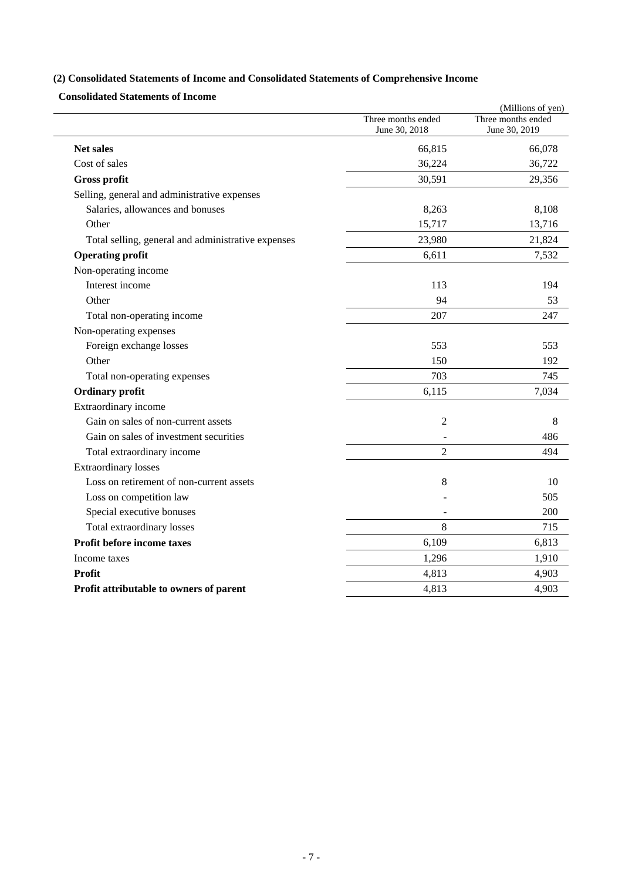## **(2) Consolidated Statements of Income and Consolidated Statements of Comprehensive Income**

**Consolidated Statements of Income** 

|                                                    |                    | (Millions of yen)  |
|----------------------------------------------------|--------------------|--------------------|
|                                                    | Three months ended | Three months ended |
|                                                    | June 30, 2018      | June 30, 2019      |
| <b>Net sales</b>                                   | 66,815             | 66,078             |
| Cost of sales                                      | 36,224             | 36,722             |
| <b>Gross profit</b>                                | 30,591             | 29,356             |
| Selling, general and administrative expenses       |                    |                    |
| Salaries, allowances and bonuses                   | 8,263              | 8,108              |
| Other                                              | 15,717             | 13,716             |
| Total selling, general and administrative expenses | 23,980             | 21,824             |
| <b>Operating profit</b>                            | 6,611              | 7,532              |
| Non-operating income                               |                    |                    |
| Interest income                                    | 113                | 194                |
| Other                                              | 94                 | 53                 |
| Total non-operating income                         | 207                | 247                |
| Non-operating expenses                             |                    |                    |
| Foreign exchange losses                            | 553                | 553                |
| Other                                              | 150                | 192                |
| Total non-operating expenses                       | 703                | 745                |
| <b>Ordinary</b> profit                             | 6,115              | 7,034              |
| Extraordinary income                               |                    |                    |
| Gain on sales of non-current assets                | $\overline{2}$     | 8                  |
| Gain on sales of investment securities             |                    | 486                |
| Total extraordinary income                         | $\overline{2}$     | 494                |
| <b>Extraordinary losses</b>                        |                    |                    |
| Loss on retirement of non-current assets           | 8                  | 10                 |
| Loss on competition law                            |                    | 505                |
| Special executive bonuses                          |                    | 200                |
| Total extraordinary losses                         | 8                  | 715                |
| Profit before income taxes                         | 6,109              | 6,813              |
| Income taxes                                       | 1,296              | 1,910              |
| Profit                                             | 4,813              | 4,903              |
| Profit attributable to owners of parent            | 4,813              | 4,903              |
|                                                    |                    |                    |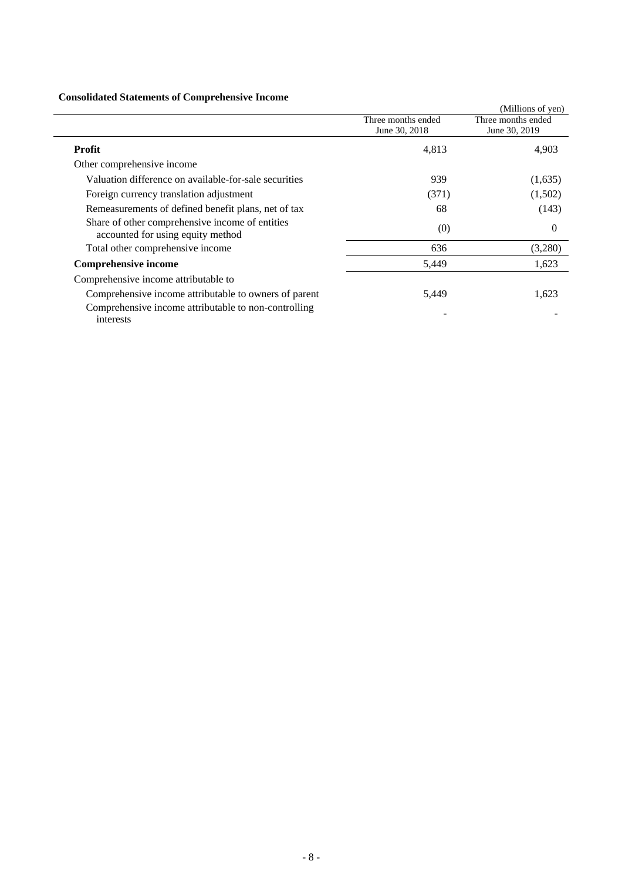## **Consolidated Statements of Comprehensive Income**

| Consolidated Statements of Complements of Income                                     |                                     |                                     |
|--------------------------------------------------------------------------------------|-------------------------------------|-------------------------------------|
|                                                                                      |                                     | (Millions of yen)                   |
|                                                                                      | Three months ended<br>June 30, 2018 | Three months ended<br>June 30, 2019 |
| Profit                                                                               | 4,813                               | 4,903                               |
| Other comprehensive income                                                           |                                     |                                     |
| Valuation difference on available-for-sale securities                                | 939                                 | (1,635)                             |
| Foreign currency translation adjustment                                              | (371)                               | (1,502)                             |
| Remeasurements of defined benefit plans, net of tax                                  | 68                                  | (143)                               |
| Share of other comprehensive income of entities<br>accounted for using equity method | (0)                                 | $\Omega$                            |
| Total other comprehensive income                                                     | 636                                 | (3,280)                             |
| <b>Comprehensive income</b>                                                          | 5,449                               | 1,623                               |
| Comprehensive income attributable to                                                 |                                     |                                     |
| Comprehensive income attributable to owners of parent                                | 5,449                               | 1,623                               |
| Comprehensive income attributable to non-controlling<br>interests                    |                                     |                                     |